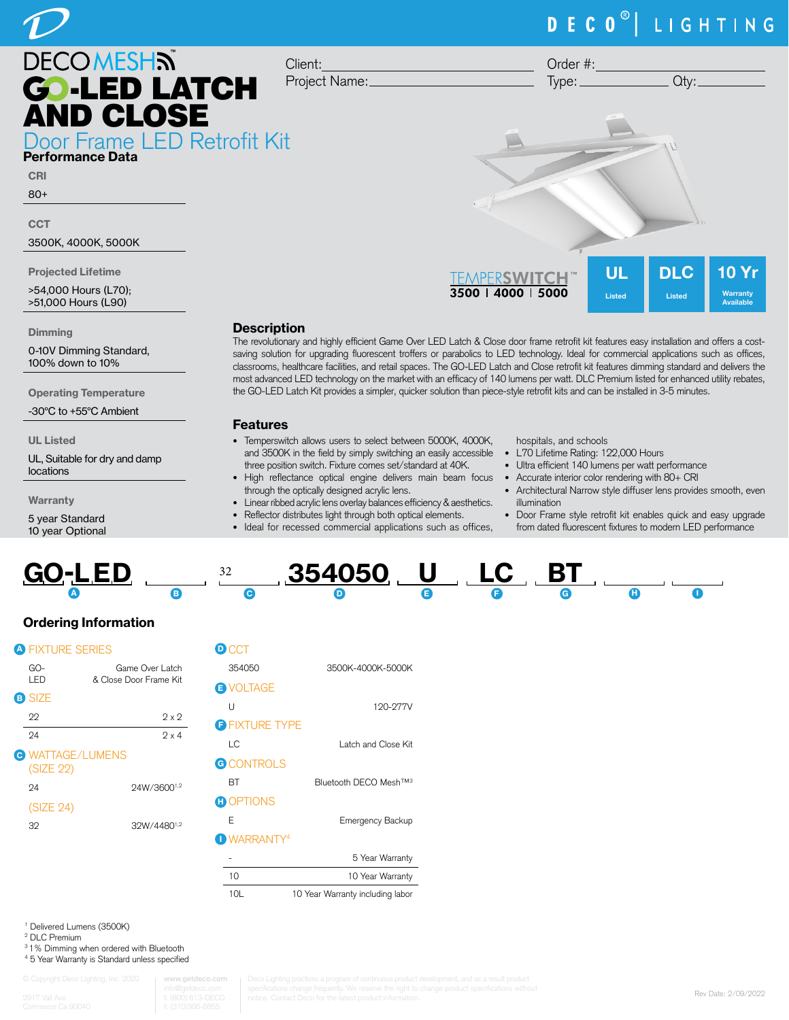# DECO<sup>®</sup> | LIGHTING



Performance Data

CRI

80+

**CCT** 

3500K, 4000K, 5000K

Projected Lifetime

>54,000 Hours (L70); >51,000 Hours (L90)

**Dimming** 

0-10V Dimming Standard, 100% down to 10%

Operating Temperature

-30°C to +55°C Ambient

UL Listed

UL, Suitable for dry and damp locations

**Warranty** 

5 year Standard 10 year Optional

| Type:                                           |                            | Qty:                        |                                              |
|-------------------------------------------------|----------------------------|-----------------------------|----------------------------------------------|
|                                                 |                            | $\mathcal{L}$               |                                              |
| TEMPERSWITCH <sup>™</sup><br>3500   4000   5000 | <b>UL</b><br><b>Listed</b> | <b>DLC</b><br><b>Listed</b> | <b>10 Yr</b><br>Warranty<br><b>Available</b> |

Order #:

## **Description**

Client:

Project Name:

The revolutionary and highly efficient Game Over LED Latch & Close door frame retrofit kit features easy installation and offers a costsaving solution for upgrading fluorescent troffers or parabolics to LED technology. Ideal for commercial applications such as offices, classrooms, healthcare facilities, and retail spaces. The GO-LED Latch and Close retrofit kit features dimming standard and delivers the most advanced LED technology on the market with an efficacy of 140 lumens per watt. DLC Premium listed for enhanced utility rebates, the GO-LED Latch Kit provides a simpler, quicker solution than piece-style retrofit kits and can be installed in 3-5 minutes.

#### Features

- Temperswitch allows users to select between 5000K, 4000K, and 3500K in the field by simply switching an easily accessible • L70 Lifetime Rating: 122,000 Hours three position switch. Fixture comes set/standard at 40K.
- High reflectance optical engine delivers main beam focus Accurate interior color rendering with 80+ CRI through the optically designed acrylic lens.
- Linear ribbed acrylic lens overlay balances efficiency & aesthetics.
- Reflector distributes light through both optical elements.
- Ideal for recessed commercial applications such as offices,

hospitals, and schools

- 
- Ultra efficient 140 lumens per watt performance
- 
- Architectural Narrow style diffuser lens provides smooth, even illumination
- Door Frame style retrofit kit enables quick and easy upgrade from dated fluorescent fixtures to modern LED performance

| <b>GO-LED</b> |  | $354050$ U LC BT |  |  |  |
|---------------|--|------------------|--|--|--|
|               |  |                  |  |  |  |

## Ordering Information

|  |  | A FIXTURF : | יו וו |  |
|--|--|-------------|-------|--|
|--|--|-------------|-------|--|

| GO-<br>I FD                          | Game Over Latch<br>& Close Door Frame Kit |
|--------------------------------------|-------------------------------------------|
| <b>B</b> SIZE                        |                                           |
| 22                                   | $2 \times 2$                              |
| 94                                   | $9 \times 4$                              |
| <b>C</b> WATTAGE/LUMENS<br>(SIZE 22) |                                           |
| 94                                   | 24W/36001,2                               |
| (SIZE 24)                            |                                           |
| 32                                   | 32W/448                                   |

| $\mathbf D$ CCT        |                                   |
|------------------------|-----------------------------------|
| 354050                 | 3500K-4000K-5000K                 |
| <b>EN VOLTAGE</b>      |                                   |
| U                      | 120-277V                          |
| <b>OFIXTURE TYPE</b>   |                                   |
| LC                     | Latch and Close Kit               |
| <b>G</b> CONTROLS      |                                   |
| RТ                     | Bluetooth DECO Mesh™ <sup>3</sup> |
| <b>O</b> OPTIONS       |                                   |
| F                      | Emergency Backup                  |
| DWARRANTY <sup>4</sup> |                                   |
|                        | 5 Year Warranty                   |
| 10                     | 10 Year Warranty                  |
| 10L                    | 10 Year Warranty including labor  |

1 Delivered Lumens (3500K)

2 DLC Premium

3 1% Dimming when ordered with Bluetooth 4 5 Year Warranty is Standard unless specified

www.getd